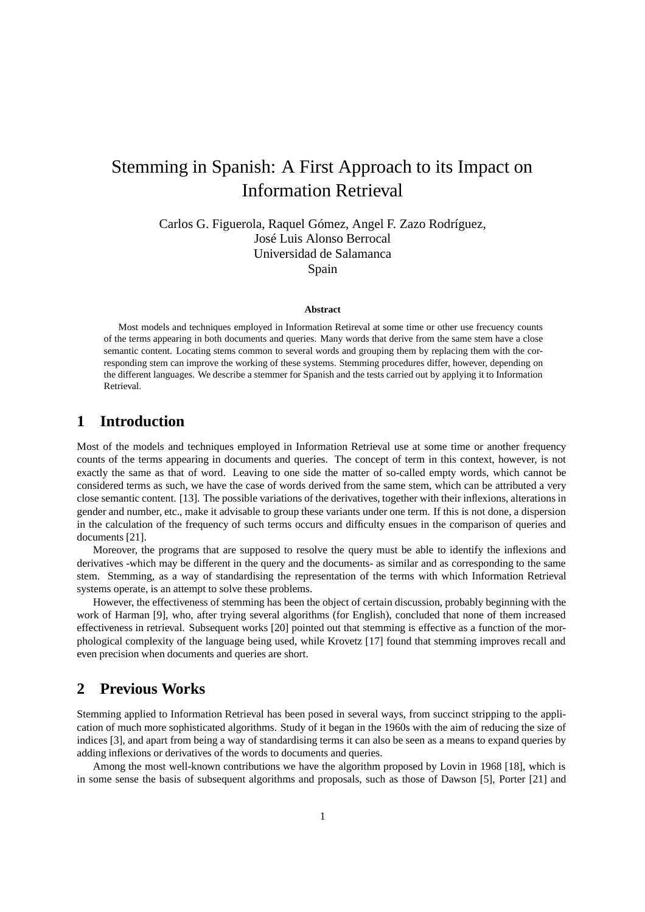# Stemming in Spanish: A First Approach to its Impact on Information Retrieval

Carlos G. Figuerola, Raquel Gómez, Angel F. Zazo Rodríguez, José Luis Alonso Berrocal Universidad de Salamanca Spain

#### **Abstract**

Most models and techniques employed in Information Retireval at some time or other use frecuency counts of the terms appearing in both documents and queries. Many words that derive from the same stem have a close semantic content. Locating stems common to several words and grouping them by replacing them with the corresponding stem can improve the working of these systems. Stemming procedures differ, however, depending on the different languages. We describe a stemmer for Spanish and the tests carried out by applying it to Information Retrieval.

## **1 Introduction**

Most of the models and techniques employed in Information Retrieval use at some time or another frequency counts of the terms appearing in documents and queries. The concept of term in this context, however, is not exactly the same as that of word. Leaving to one side the matter of so-called empty words, which cannot be considered terms as such, we have the case of words derived from the same stem, which can be attributed a very close semantic content. [13]. The possible variations of the derivatives, together with their inflexions, alterations in gender and number, etc., make it advisable to group these variants under one term. If this is not done, a dispersion in the calculation of the frequency of such terms occurs and difficulty ensues in the comparison of queries and documents [21].

Moreover, the programs that are supposed to resolve the query must be able to identify the inflexions and derivatives -which may be different in the query and the documents- as similar and as corresponding to the same stem. Stemming, as a way of standardising the representation of the terms with which Information Retrieval systems operate, is an attempt to solve these problems.

However, the effectiveness of stemming has been the object of certain discussion, probably beginning with the work of Harman [9], who, after trying several algorithms (for English), concluded that none of them increased effectiveness in retrieval. Subsequent works [20] pointed out that stemming is effective as a function of the morphological complexity of the language being used, while Krovetz [17] found that stemming improves recall and even precision when documents and queries are short.

### **2 Previous Works**

Stemming applied to Information Retrieval has been posed in several ways, from succinct stripping to the application of much more sophisticated algorithms. Study of it began in the 1960s with the aim of reducing the size of indices [3], and apart from being a way of standardising terms it can also be seen as a means to expand queries by adding inflexions or derivatives of the words to documents and queries.

Among the most well-known contributions we have the algorithm proposed by Lovin in 1968 [18], which is in some sense the basis of subsequent algorithms and proposals, such as those of Dawson [5], Porter [21] and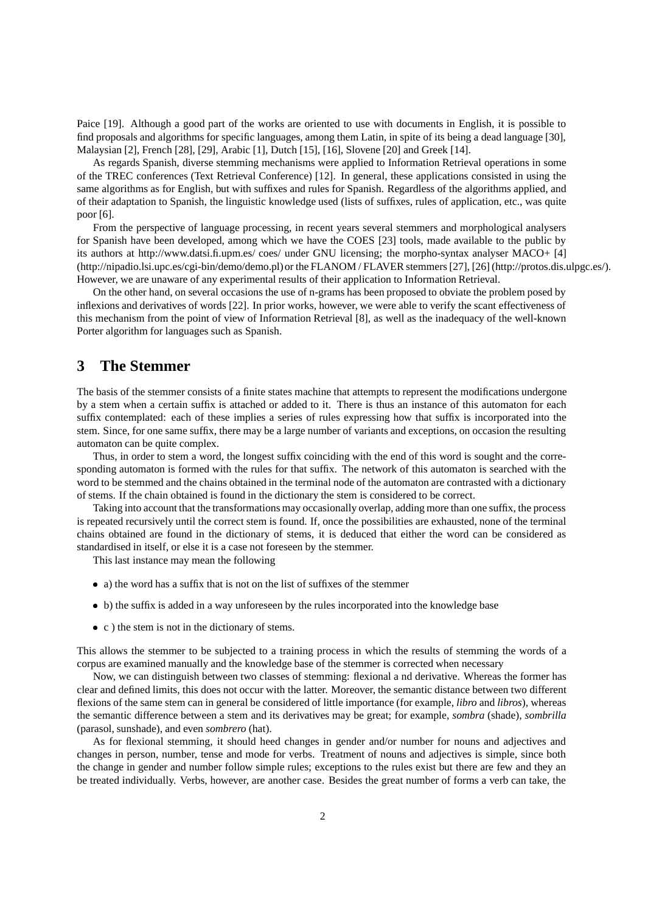Paice [19]. Although a good part of the works are oriented to use with documents in English, it is possible to find proposals and algorithms for specific languages, among them Latin, in spite of its being a dead language [30], Malaysian [2], French [28], [29], Arabic [1], Dutch [15], [16], Slovene [20] and Greek [14].

As regards Spanish, diverse stemming mechanisms were applied to Information Retrieval operations in some of the TREC conferences (Text Retrieval Conference) [12]. In general, these applications consisted in using the same algorithms as for English, but with suffixes and rules for Spanish. Regardless of the algorithms applied, and of their adaptation to Spanish, the linguistic knowledge used (lists of suffixes, rules of application, etc., was quite poor [6].

From the perspective of language processing, in recent years several stemmers and morphological analysers for Spanish have been developed, among which we have the COES [23] tools, made available to the public by its authors at http://www.datsi.fi.upm.es/ coes/ under GNU licensing; the morpho-syntax analyser MACO+ [4] (http://nipadio.lsi.upc.es/cgi-bin/demo/demo.pl)or the FLANOM / FLAVER stemmers [27], [26] (http://protos.dis.ulpgc.es/). However, we are unaware of any experimental results of their application to Information Retrieval.

On the other hand, on several occasions the use of n-grams has been proposed to obviate the problem posed by inflexions and derivatives of words [22]. In prior works, however, we were able to verify the scant effectiveness of this mechanism from the point of view of Information Retrieval [8], as well as the inadequacy of the well-known Porter algorithm for languages such as Spanish.

#### **3 The Stemmer**

The basis of the stemmer consists of a finite states machine that attempts to represent the modifications undergone by a stem when a certain suffix is attached or added to it. There is thus an instance of this automaton for each suffix contemplated: each of these implies a series of rules expressing how that suffix is incorporated into the stem. Since, for one same suffix, there may be a large number of variants and exceptions, on occasion the resulting automaton can be quite complex.

Thus, in order to stem a word, the longest suffix coinciding with the end of this word is sought and the corresponding automaton is formed with the rules for that suffix. The network of this automaton is searched with the word to be stemmed and the chains obtained in the terminal node of the automaton are contrasted with a dictionary of stems. If the chain obtained is found in the dictionary the stem is considered to be correct.

Taking into account that the transformations may occasionally overlap, adding more than one suffix, the process is repeated recursively until the correct stem is found. If, once the possibilities are exhausted, none of the terminal chains obtained are found in the dictionary of stems, it is deduced that either the word can be considered as standardised in itself, or else it is a case not foreseen by the stemmer.

This last instance may mean the following

- a) the word has a suffix that is not on the list of suffixes of the stemmer
- b) the suffix is added in a way unforeseen by the rules incorporated into the knowledge base
- c ) the stem is not in the dictionary of stems.

This allows the stemmer to be subjected to a training process in which the results of stemming the words of a corpus are examined manually and the knowledge base of the stemmer is corrected when necessary

Now, we can distinguish between two classes of stemming: flexional a nd derivative. Whereas the former has clear and defined limits, this does not occur with the latter. Moreover, the semantic distance between two different flexions of the same stem can in general be considered of little importance (for example, *libro* and *libros*), whereas the semantic difference between a stem and its derivatives may be great; for example, *sombra* (shade), *sombrilla* (parasol, sunshade), and even *sombrero* (hat).

As for flexional stemming, it should heed changes in gender and/or number for nouns and adjectives and changes in person, number, tense and mode for verbs. Treatment of nouns and adjectives is simple, since both the change in gender and number follow simple rules; exceptions to the rules exist but there are few and they an be treated individually. Verbs, however, are another case. Besides the great number of forms a verb can take, the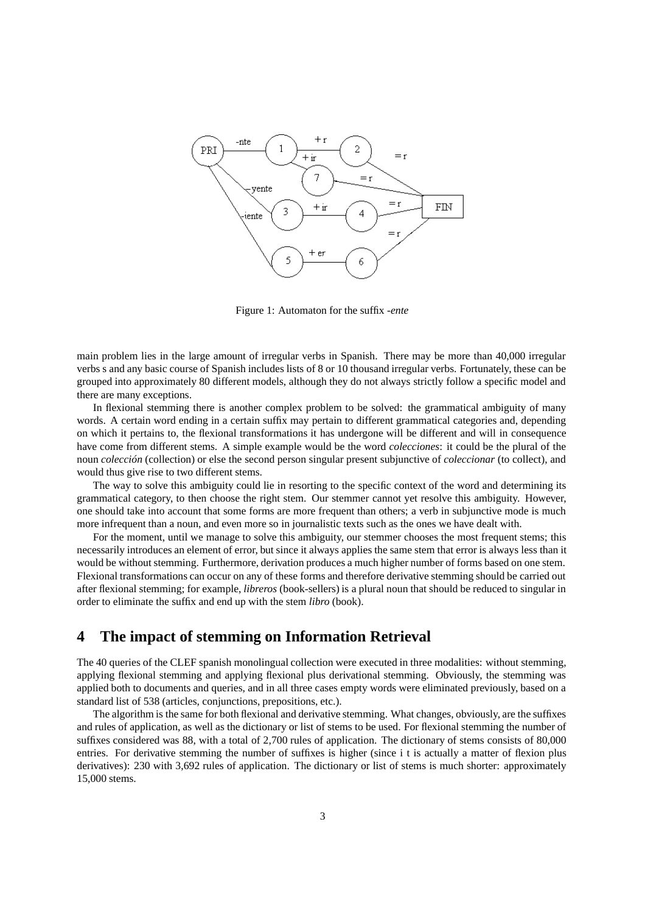

Figure 1: Automaton for the suffix *-ente*

main problem lies in the large amount of irregular verbs in Spanish. There may be more than 40,000 irregular verbs s and any basic course of Spanish includes lists of 8 or 10 thousand irregular verbs. Fortunately, these can be grouped into approximately 80 different models, although they do not always strictly follow a specific model and there are many exceptions.

In flexional stemming there is another complex problem to be solved: the grammatical ambiguity of many words. A certain word ending in a certain suffix may pertain to different grammatical categories and, depending on which it pertains to, the flexional transformations it has undergone will be different and will in consequence have come from different stems. A simple example would be the word *colecciones*: it could be the plural of the noun *colección* (collection) or else the second person singular present subjunctive of *coleccionar* (to collect), and would thus give rise to two different stems.

The way to solve this ambiguity could lie in resorting to the specific context of the word and determining its grammatical category, to then choose the right stem. Our stemmer cannot yet resolve this ambiguity. However, one should take into account that some forms are more frequent than others; a verb in subjunctive mode is much more infrequent than a noun, and even more so in journalistic texts such as the ones we have dealt with.

For the moment, until we manage to solve this ambiguity, our stemmer chooses the most frequent stems; this necessarily introduces an element of error, but since it always applies the same stem that error is always less than it would be without stemming. Furthermore, derivation produces a much higher number of forms based on one stem. Flexional transformations can occur on any of these forms and therefore derivative stemming should be carried out after flexional stemming; for example, *libreros* (book-sellers) is a plural noun that should be reduced to singular in order to eliminate the suffix and end up with the stem *libro* (book).

#### **4 The impact of stemming on Information Retrieval**

The 40 queries of the CLEF spanish monolingual collection were executed in three modalities: without stemming, applying flexional stemming and applying flexional plus derivational stemming. Obviously, the stemming was applied both to documents and queries, and in all three cases empty words were eliminated previously, based on a standard list of 538 (articles, conjunctions, prepositions, etc.).

The algorithm is the same for both flexional and derivative stemming. What changes, obviously, are the suffixes and rules of application, as well as the dictionary or list of stems to be used. For flexional stemming the number of suffixes considered was 88, with a total of 2,700 rules of application. The dictionary of stems consists of 80,000 entries. For derivative stemming the number of suffixes is higher (since i t is actually a matter of flexion plus derivatives): 230 with 3,692 rules of application. The dictionary or list of stems is much shorter: approximately 15,000 stems.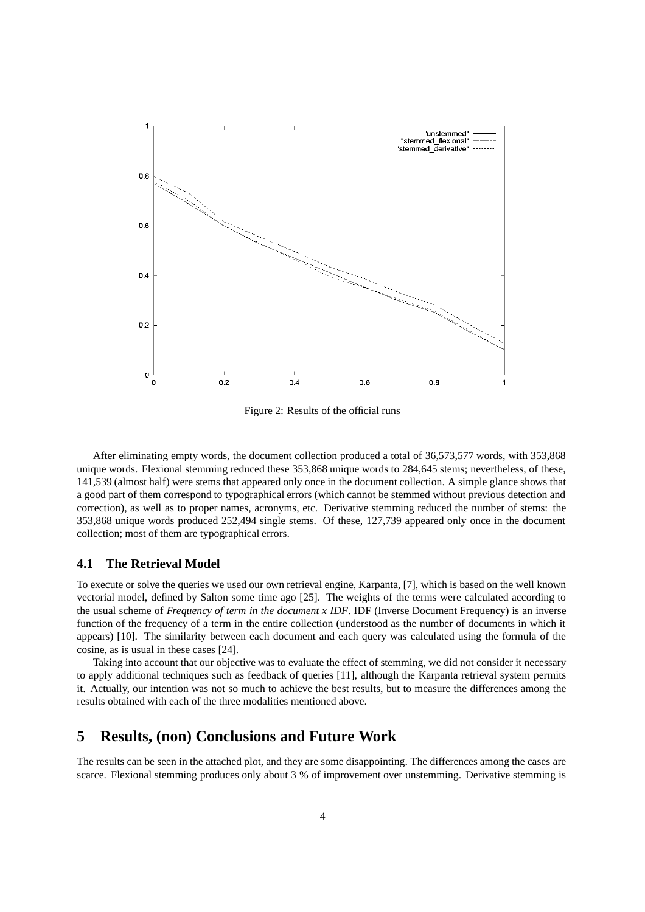

Figure 2: Results of the official runs

After eliminating empty words, the document collection produced a total of 36,573,577 words, with 353,868 unique words. Flexional stemming reduced these 353,868 unique words to 284,645 stems; nevertheless, of these, 141,539 (almost half) were stems that appeared only once in the document collection. A simple glance shows that a good part of them correspond to typographical errors (which cannot be stemmed without previous detection and correction), as well as to proper names, acronyms, etc. Derivative stemming reduced the number of stems: the 353,868 unique words produced 252,494 single stems. Of these, 127,739 appeared only once in the document collection; most of them are typographical errors.

#### **4.1 The Retrieval Model**

To execute or solve the queries we used our own retrieval engine, Karpanta, [7], which is based on the well known vectorial model, defined by Salton some time ago [25]. The weights of the terms were calculated according to the usual scheme of *Frequency of term in the document x IDF*. IDF (Inverse Document Frequency) is an inverse function of the frequency of a term in the entire collection (understood as the number of documents in which it appears) [10]. The similarity between each document and each query was calculated using the formula of the cosine, as is usual in these cases [24].

Taking into account that our objective was to evaluate the effect of stemming, we did not consider it necessary to apply additional techniques such as feedback of queries [11], although the Karpanta retrieval system permits it. Actually, our intention was not so much to achieve the best results, but to measure the differences among the results obtained with each of the three modalities mentioned above.

#### **5 Results, (non) Conclusions and Future Work**

The results can be seen in the attached plot, and they are some disappointing. The differences among the cases are scarce. Flexional stemming produces only about 3 % of improvement over unstemming. Derivative stemming is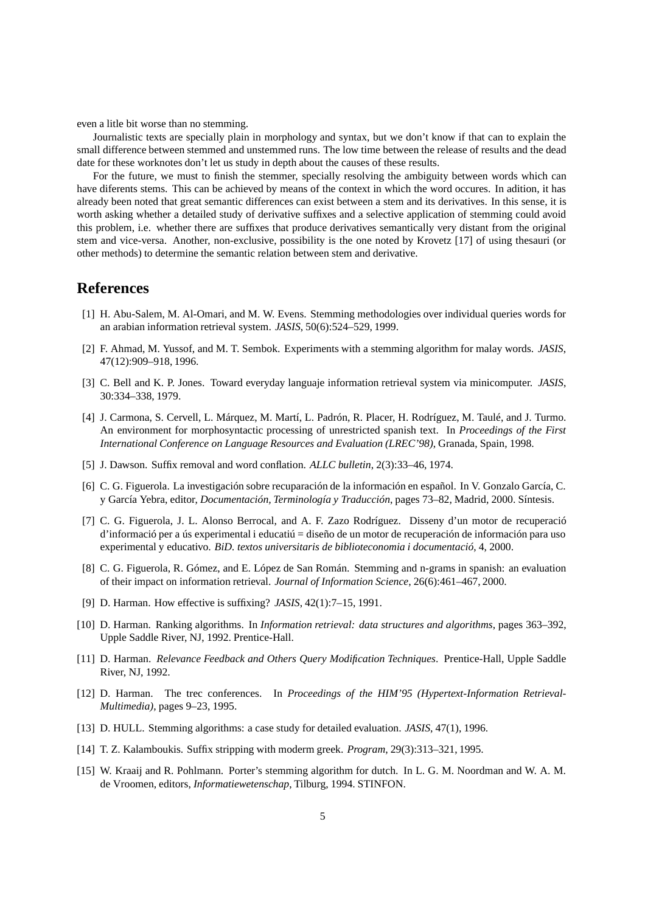even a litle bit worse than no stemming.

Journalistic texts are specially plain in morphology and syntax, but we don't know if that can to explain the small difference between stemmed and unstemmed runs. The low time between the release of results and the dead date for these worknotes don't let us study in depth about the causes of these results.

For the future, we must to finish the stemmer, specially resolving the ambiguity between words which can have diferents stems. This can be achieved by means of the context in which the word occures. In adition, it has already been noted that great semantic differences can exist between a stem and its derivatives. In this sense, it is worth asking whether a detailed study of derivative suffixes and a selective application of stemming could avoid this problem, i.e. whether there are suffixes that produce derivatives semantically very distant from the original stem and vice-versa. Another, non-exclusive, possibility is the one noted by Krovetz [17] of using thesauri (or other methods) to determine the semantic relation between stem and derivative.

#### **References**

- [1] H. Abu-Salem, M. Al-Omari, and M. W. Evens. Stemming methodologies over individual queries words for an arabian information retrieval system. *JASIS*, 50(6):524–529, 1999.
- [2] F. Ahmad, M. Yussof, and M. T. Sembok. Experiments with a stemming algorithm for malay words. *JASIS*, 47(12):909–918, 1996.
- [3] C. Bell and K. P. Jones. Toward everyday languaje information retrieval system via minicomputer. *JASIS*, 30:334–338, 1979.
- [4] J. Carmona, S. Cervell, L. Márquez, M. Martí, L. Padrón, R. Placer, H. Rodríguez, M. Taulé, and J. Turmo. An environment for morphosyntactic processing of unrestricted spanish text. In *Proceedings of the First International Conference on Language Resources and Evaluation (LREC'98)*, Granada, Spain, 1998.
- [5] J. Dawson. Suffix removal and word conflation. *ALLC bulletin*, 2(3):33–46, 1974.
- [6] C. G. Figuerola. La investigación sobre recuparación de la información en español. In V. Gonzalo García, C. y García Yebra, editor, *Documentación, Terminología y Traducción*, pages 73–82, Madrid, 2000. Síntesis.
- [7] C. G. Figuerola, J. L. Alonso Berrocal, and A. F. Zazo Rodríguez. Disseny d'un motor de recuperació d'informació per a ús experimental i educatiú = diseño de un motor de recuperación de información para uso experimental y educativo. *BiD. textos universitaris de biblioteconomia i documentació*, 4, 2000.
- [8] C. G. Figuerola, R. Gómez, and E. López de San Román. Stemming and n-grams in spanish: an evaluation of their impact on information retrieval. *Journal of Information Science*, 26(6):461–467, 2000.
- [9] D. Harman. How effective is suffixing? *JASIS*, 42(1):7–15, 1991.
- [10] D. Harman. Ranking algorithms. In *Information retrieval: data structures and algorithms*, pages 363–392, Upple Saddle River, NJ, 1992. Prentice-Hall.
- [11] D. Harman. *Relevance Feedback and Others Query Modification Techniques*. Prentice-Hall, Upple Saddle River, NJ, 1992.
- [12] D. Harman. The trec conferences. In *Proceedings of the HIM'95 (Hypertext-Information Retrieval-Multimedia)*, pages 9–23, 1995.
- [13] D. HULL. Stemming algorithms: a case study for detailed evaluation. *JASIS*, 47(1), 1996.
- [14] T. Z. Kalamboukis. Suffix stripping with moderm greek. *Program*, 29(3):313–321, 1995.
- [15] W. Kraaij and R. Pohlmann. Porter's stemming algorithm for dutch. In L. G. M. Noordman and W. A. M. de Vroomen, editors, *Informatiewetenschap*, Tilburg, 1994. STINFON.